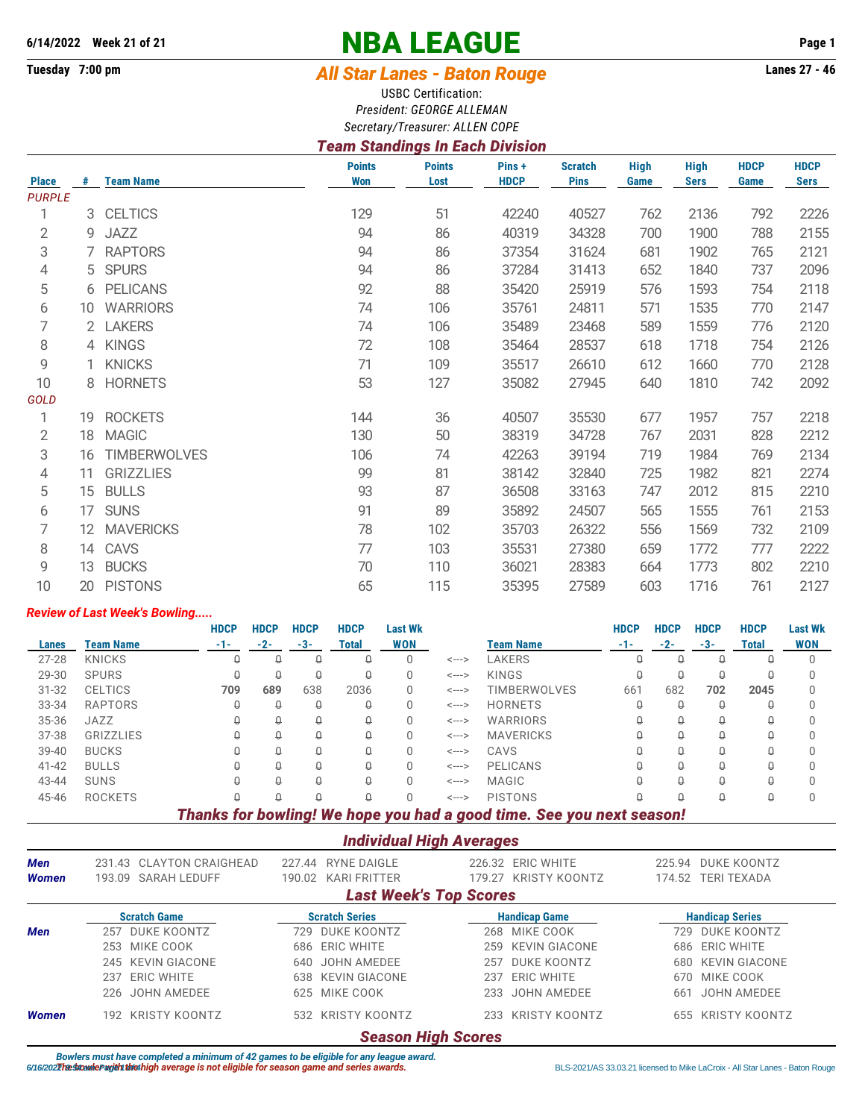# **6/14/2022 Week 21 of 21 NBA LEAGUE Page 1**

# **Tuesday 7:00 pm** *All Star Lanes - Baton Rouge* **Lanes 27 - 46**

USBC Certification: *President: GEORGE ALLEMAN Secretary/Treasurer: ALLEN COPE*

## *Team Standings In Each Division*

|                               |    |                     | <b>Points</b> | <b>Points</b> | Pins +      | <b>Scratch</b> | <b>High</b> | <b>High</b> | <b>HDCP</b> | <b>HDCP</b> |
|-------------------------------|----|---------------------|---------------|---------------|-------------|----------------|-------------|-------------|-------------|-------------|
| <b>Place</b><br><b>PURPLE</b> | #  | <b>Team Name</b>    | <b>Won</b>    | Lost          | <b>HDCP</b> | <b>Pins</b>    | Game        | <b>Sers</b> | Game        | <b>Sers</b> |
|                               | 3  | <b>CELTICS</b>      | 129           | 51            | 42240       | 40527          | 762         | 2136        | 792         | 2226        |
| 2                             | 9  | <b>JAZZ</b>         | 94            | 86            | 40319       | 34328          | 700         | 1900        | 788         | 2155        |
| 3                             |    | 7 RAPTORS           | 94            | 86            | 37354       | 31624          | 681         | 1902        | 765         | 2121        |
| 4                             | 5  | <b>SPURS</b>        | 94            | 86            | 37284       | 31413          | 652         | 1840        | 737         | 2096        |
| 5                             | 6  | <b>PELICANS</b>     | 92            | 88            | 35420       | 25919          | 576         | 1593        | 754         | 2118        |
| 6                             | 10 | <b>WARRIORS</b>     | 74            | 106           | 35761       | 24811          | 571         | 1535        | 770         | 2147        |
| 7                             |    | 2 LAKERS            | 74            | 106           | 35489       | 23468          | 589         | 1559        | 776         | 2120        |
| 8                             |    | 4 KINGS             | 72            | 108           | 35464       | 28537          | 618         | 1718        | 754         | 2126        |
| 9                             |    | <b>KNICKS</b>       | 71            | 109           | 35517       | 26610          | 612         | 1660        | 770         | 2128        |
| 10                            | 8  | <b>HORNETS</b>      | 53            | 127           | 35082       | 27945          | 640         | 1810        | 742         | 2092        |
| <b>GOLD</b>                   |    |                     |               |               |             |                |             |             |             |             |
| 1                             | 19 | <b>ROCKETS</b>      | 144           | 36            | 40507       | 35530          | 677         | 1957        | 757         | 2218        |
| $\mathbf{2}$                  | 18 | <b>MAGIC</b>        | 130           | 50            | 38319       | 34728          | 767         | 2031        | 828         | 2212        |
| 3                             | 16 | <b>TIMBERWOLVES</b> | 106           | 74            | 42263       | 39194          | 719         | 1984        | 769         | 2134        |
| 4                             | 11 | <b>GRIZZLIES</b>    | 99            | 81            | 38142       | 32840          | 725         | 1982        | 821         | 2274        |
| 5                             | 15 | <b>BULLS</b>        | 93            | 87            | 36508       | 33163          | 747         | 2012        | 815         | 2210        |
| 6                             | 17 | <b>SUNS</b>         | 91            | 89            | 35892       | 24507          | 565         | 1555        | 761         | 2153        |
| 7                             | 12 | <b>MAVERICKS</b>    | 78            | 102           | 35703       | 26322          | 556         | 1569        | 732         | 2109        |
| 8                             | 14 | CAVS                | 77            | 103           | 35531       | 27380          | 659         | 1772        | 777         | 2222        |
| 9                             | 13 | <b>BUCKS</b>        | 70            | 110           | 36021       | 28383          | 664         | 1773        | 802         | 2210        |
| 10                            | 20 | <b>PISTONS</b>      | 65            | 115           | 35395       | 27589          | 603         | 1716        | 761         | 2127        |
|                               |    |                     |               |               |             |                |             |             |             |             |

#### *Review of Last Week's Bowling.....*

|           |                  | <b>HDCP</b> | <b>HDCP</b> | <b>HDCP</b> | <b>HDCP</b> | <b>Last Wk</b> |                            |                                                                       | <b>HDCP</b> | <b>HDCP</b> | <b>HDCP</b> | <b>HDCP</b> | <b>Last Wk</b> |
|-----------|------------------|-------------|-------------|-------------|-------------|----------------|----------------------------|-----------------------------------------------------------------------|-------------|-------------|-------------|-------------|----------------|
| Lanes     | <b>Team Name</b> | $-1-$       | $-2-$       | -3-         | Total       | <b>WON</b>     |                            | <b>Team Name</b>                                                      | $-1-$       | $-2-$       | -3-         | Total       | <b>WON</b>     |
| $27 - 28$ | <b>KNICKS</b>    | Q           | Q           | Q           | Q           |                | <--->                      | LAKERS                                                                | ₩           | $\Omega$    | Q           |             |                |
| 29-30     | <b>SPURS</b>     | Q           | Q           | Q           | Q           |                | <--->                      | KINGS                                                                 |             | Q           | Q           | Q           |                |
| $31 - 32$ | <b>CELTICS</b>   | 709         | 689         | 638         | 2036        | 0              | $\leftarrow$ $\rightarrow$ | <b>TIMBERWOLVES</b>                                                   | 661         | 682         | 702         | 2045        |                |
| 33-34     | <b>RAPTORS</b>   | Q           | Q           | Q           | Q           | 0              | <--->                      | <b>HORNETS</b>                                                        |             | $\Omega$    | Q           | Д           |                |
| 35-36     | JAZZ             | Q           | Û           | Û           | Q           | 0              | $\leftarrow$ $\rightarrow$ | WARRIORS                                                              |             | Û           | Q           | Д           |                |
| 37-38     | GRIZZLIES        | Q           | Q           | Û           | Q           |                | <--->                      | <b>MAVERICKS</b>                                                      | ₩           | $\Omega$    | Q           | Q           |                |
| $39 - 40$ | <b>BUCKS</b>     |             | Û           | Û           | Q           | 0              | <--->                      | CAVS                                                                  |             | $\Omega$    | Q           | Д           |                |
| $41 - 42$ | <b>BULLS</b>     |             | Û           | Û           | Q           |                | <--->                      | <b>PELICANS</b>                                                       |             | $\Omega$    | Q           | Д           |                |
| 43-44     | <b>SUNS</b>      | Q           | Û           | Û           | Q           |                | <--->                      | <b>MAGIC</b>                                                          |             | $\theta$    | Q           | Д           |                |
| 45-46     | <b>ROCKETS</b>   | Q           | Û           | Û           | Q           |                | <--->                      | <b>PISTONS</b>                                                        |             | $\Omega$    | Q           | Q           |                |
|           |                  |             |             |             |             |                |                            | Thanke for howling! We hang you had a good time. See you next ceased! |             |             |             |             |                |

*Thanks for bowling! We hope you had a good time. See you next season!*

### *Individual High Averages*

| Men<br>Women |                           | 231.43 CLAYTON CRAIGHEAD<br>193.09 SARAH LEDUFF | 227.44<br>190.02 | RYNE DAIGLE<br><b>KARI FRITTER</b> |      | 226.32 ERIC WHITE<br>179.27 KRISTY KOONTZ | 225.94 | DUKE KOONTZ<br>174.52 TERI TEXADA |  |  |
|--------------|---------------------------|-------------------------------------------------|------------------|------------------------------------|------|-------------------------------------------|--------|-----------------------------------|--|--|
|              |                           |                                                 |                  | <b>Last Week's Top Scores</b>      |      |                                           |        |                                   |  |  |
|              |                           | <b>Scratch Game</b>                             |                  | <b>Scratch Series</b>              |      | <b>Handicap Game</b>                      |        | <b>Handicap Series</b>            |  |  |
| <b>Men</b>   | 257                       | DUKE KOONTZ                                     | 729              | DUKE KOONTZ                        | 268  | MIKE COOK                                 | 729    | DUKE KOONTZ                       |  |  |
|              |                           | 253 MIKE COOK                                   |                  | 686 ERIC WHITE                     | 259  | KEVIN GIACONE                             |        | 686 ERIC WHITE                    |  |  |
|              |                           | 245 KEVIN GIACONE                               | 640              | JOHN AMEDEE                        | 257  | DUKE KOONTZ                               | 680    | KEVIN GIACONE                     |  |  |
|              |                           | 237 ERIC WHITE                                  |                  | 638 KEVIN GIACONE                  | 237  | ERIC WHITE                                | 670.   | MIKE COOK                         |  |  |
|              |                           | 226 JOHN AMEDEE                                 |                  | 625 MIKE COOK                      | 233  | JOHN AMEDEE                               | 661    | JOHN AMEDEE                       |  |  |
| Women        |                           | 192 KRISTY KOONTZ                               |                  | 532 KRISTY KOONTZ                  | 233. | KRISTY KOONTZ                             | 655    | KRISTY KOONTZ                     |  |  |
|              | <b>Season High Scores</b> |                                                 |                  |                                    |      |                                           |        |                                   |  |  |

Bowlers must have completed a minimum of 42 games to be eligible for any league award.<br>6/16/2027he both Sand Alicensed to Mike LaCroix - All Star Lanes - Baton Rouge (6/16/2027he BLS-2021/AS 33.03.21 licensed to Mike LaCro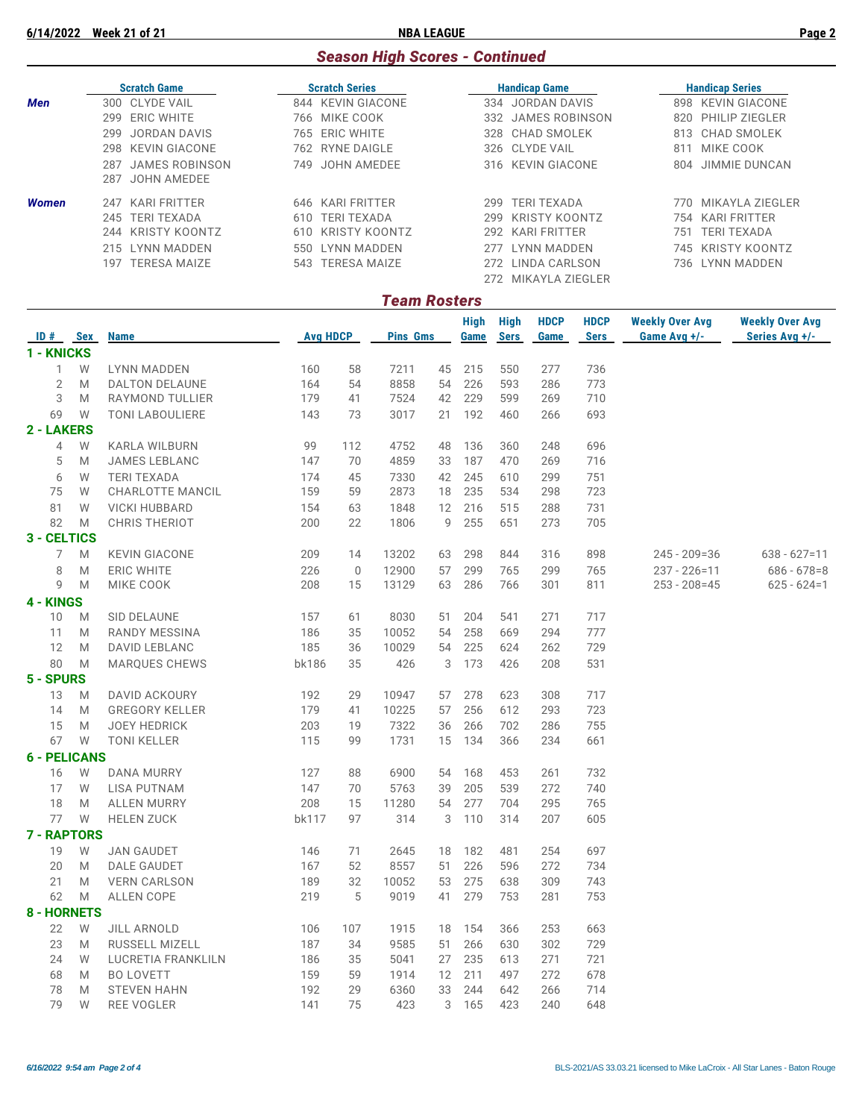#### *Season High Scores - Continued*

|              | <b>Scratch Game</b>          | <b>Scratch Series</b>       | <b>Handicap Game</b>       | <b>Handicap Series</b>       |  |  |  |
|--------------|------------------------------|-----------------------------|----------------------------|------------------------------|--|--|--|
| <b>Men</b>   | 300 CLYDE VAIL               | KEVIN GIACONE<br>844        | JORDAN DAVIS<br>334        | <b>KEVIN GIACONE</b><br>898  |  |  |  |
|              | ERIC WHITE<br>299            | 766 MIKE COOK               | JAMES ROBINSON<br>332      | <b>PHILIP ZIEGLER</b><br>820 |  |  |  |
|              | JORDAN DAVIS<br>299          | 765 ERIC WHITE              | 328 CHAD SMOLEK            | CHAD SMOLEK<br>813           |  |  |  |
|              | 298 KEVIN GIACONE            | 762 RYNE DAIGLE             | 326 CLYDE VAIL             | MIKE COOK<br>811             |  |  |  |
|              | <b>JAMES ROBINSON</b><br>287 | JOHN AMEDEE<br>749          | 316 KEVIN GIACONE          | JIMMIE DUNCAN<br>804         |  |  |  |
|              | JOHN AMEDEE<br>287           |                             |                            |                              |  |  |  |
| <b>Women</b> | KARI FRITTER<br>247          | 646 KARI FRITTER            | <b>TERI TEXADA</b><br>299  | MIKAYLA ZIEGLER<br>770.      |  |  |  |
|              | 245 TERI TEXADA              | <b>TERI TEXADA</b><br>610   | KRISTY KOONTZ<br>299.      | KARI FRITTER<br>754          |  |  |  |
|              | 244 KRISTY KOONTZ            | <b>KRISTY KOONTZ</b><br>610 | <b>KARI FRITTER</b><br>292 | <b>TERI TEXADA</b><br>751    |  |  |  |
|              | 215 LYNN MADDEN              | LYNN MADDEN<br>550          | LYNN MADDEN<br>277         | 745 KRISTY KOONTZ            |  |  |  |
|              | <b>TERESA MAIZE</b><br>197   | TERESA MAIZE<br>543         | LINDA CARLSON<br>272       | 736 LYNN MADDEN              |  |  |  |
|              |                              |                             | MIKAYLA ZIEGLER<br>272     |                              |  |  |  |

#### *Team Rosters* **High High HDCP HDCP Weekly Over Avg Weekly Over Avg ID # Sex Name Avg HDCP Pins Gms Game Sers Game Sers Game Avg +/- Series Avg +/- 1 - KNICKS** W LYNN MADDEN 160 58 7211 45 215 550 277 736 M DALTON DELAUNE 164 54 8858 54 226 593 286 773 M RAYMOND TULLIER 179 41 7524 42 229 599 269 710 W TONI LABOULIERE 143 73 3017 21 192 460 266 693 **2 - LAKERS** W KARLA WILBURN 99 112 4752 48 136 360 248 696 M JAMES LEBLANC 147 70 4859 33 187 470 269 716 W TERI TEXADA 174 45 7330 42 245 610 299 751 W CHARLOTTE MANCIL 159 59 2873 18 235 534 298 723 W VICKI HUBBARD 154 63 1848 12 216 515 288 731 M CHRIS THERIOT 200 22 1806 9 255 651 273 705 **3 - CELTICS** M KEVIN GIACONE 209 14 13202 63 298 844 316 898 245 - 209=36 638 - 627=11 M ERIC WHITE 226 0 12900 57 299 765 299 765 237 - 226=11 686 - 678=8 M MIKE COOK 208 15 13129 63 286 766 301 811 253 - 208=45 625 - 624=1 **4 - KINGS** M SID DELAUNE 157 61 8030 51 204 541 271 717 M RANDY MESSINA 186 35 10052 54 258 669 294 777 M DAVID LEBLANC 185 36 10029 54 225 624 262 729 M MARQUES CHEWS bk186 35 426 3 173 426 208 531 **5 - SPURS** M DAVID ACKOURY 192 29 10947 57 278 623 308 717 M GREGORY KELLER 179 41 10225 57 256 612 293 723 M JOEY HEDRICK 203 19 7322 36 266 702 286 755 W TONI KELLER 115 99 1731 15 134 366 234 661 **6 - PELICANS** W DANA MURRY 127 88 6900 54 168 453 261 732 W LISA PUTNAM 147 70 5763 39 205 539 272 740 M ALLEN MURRY 208 15 11280 54 277 704 295 765 W HELEN ZUCK bk117 97 314 3 110 314 207 605 **7 - RAPTORS** W JAN GAUDET 146 71 2645 18 182 481 254 697 M DALE GAUDET 167 52 8557 51 226 596 272 734 M VERN CARLSON 189 32 10052 53 275 638 309 743 M ALLEN COPE 219 5 9019 41 279 753 281 753 **8 - HORNETS** W JILL ARNOLD 106 107 1915 18 154 366 253 663 M RUSSELL MIZELL 187 34 9585 51 266 630 302 729 W LUCRETIA FRANKLILN 186 35 5041 27 235 613 271 721 M BO LOVETT 159 59 1914 12 211 497 272 678 M STEVEN HAHN 192 29 6360 33 244 642 266 714

W REE VOGLER 141 75 423 3 165 423 240 648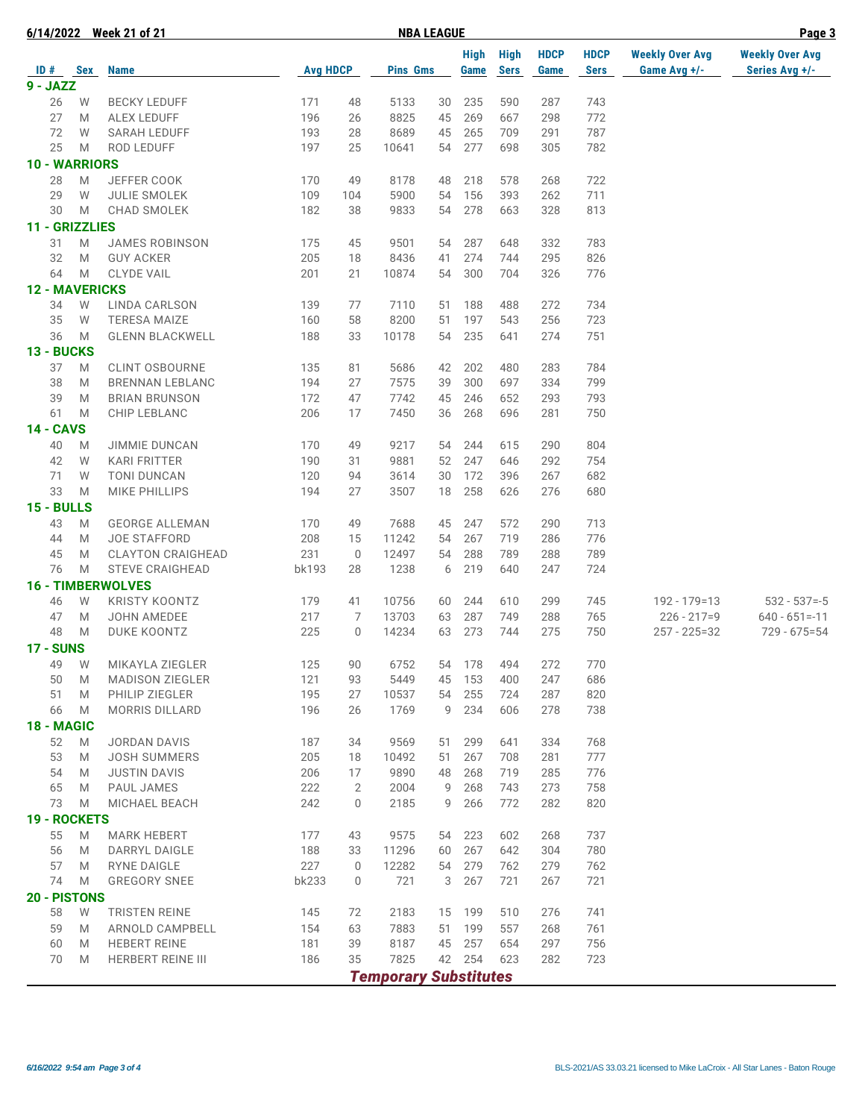|                       |   | 6/14/2022 Week 21 of 21            |                 |                | <b>NBA LEAGUE</b>            | Page 3   |                     |                            |                     |                            |                                        |                                          |
|-----------------------|---|------------------------------------|-----------------|----------------|------------------------------|----------|---------------------|----------------------------|---------------------|----------------------------|----------------------------------------|------------------------------------------|
| $ID#$ Sex             |   | <b>Name</b>                        | <b>Avg HDCP</b> |                | <b>Pins Gms</b>              |          | <b>High</b><br>Game | <b>High</b><br><b>Sers</b> | <b>HDCP</b><br>Game | <b>HDCP</b><br><b>Sers</b> | <b>Weekly Over Avg</b><br>Game Avg +/- | <b>Weekly Over Avg</b><br>Series Avg +/- |
| $9 - JAZZ$            |   |                                    |                 |                |                              |          |                     |                            |                     |                            |                                        |                                          |
| 26                    | W | <b>BECKY LEDUFF</b>                | 171             | 48             | 5133                         | 30       | 235                 | 590                        | 287                 | 743                        |                                        |                                          |
| 27                    | M | <b>ALEX LEDUFF</b>                 | 196             | 26             | 8825                         | 45       | 269                 | 667                        | 298                 | 772                        |                                        |                                          |
| 72                    | W | <b>SARAH LEDUFF</b>                | 193             | 28             | 8689                         | 45       | 265                 | 709                        | 291                 | 787                        |                                        |                                          |
| 25                    | M | ROD LEDUFF                         | 197             | 25             | 10641                        | 54       | 277                 | 698                        | 305                 | 782                        |                                        |                                          |
| 10 - WARRIORS         |   |                                    |                 |                |                              |          |                     |                            |                     |                            |                                        |                                          |
|                       | M |                                    | 170             | 49             |                              |          |                     |                            |                     | 722                        |                                        |                                          |
| 28<br>29              | W | JEFFER COOK                        |                 |                | 8178                         | 48<br>54 | 218<br>156          | 578                        | 268                 | 711                        |                                        |                                          |
|                       |   | <b>JULIE SMOLEK</b><br>CHAD SMOLEK | 109             | 104            | 5900                         |          |                     | 393                        | 262                 |                            |                                        |                                          |
| 30                    | M |                                    | 182             | 38             | 9833                         | 54       | 278                 | 663                        | 328                 | 813                        |                                        |                                          |
| 11 - GRIZZLIES        |   |                                    |                 |                |                              |          |                     |                            |                     |                            |                                        |                                          |
| 31                    | M | <b>JAMES ROBINSON</b>              | 175             | 45             | 9501                         | 54       | 287                 | 648                        | 332                 | 783                        |                                        |                                          |
| 32                    | M | <b>GUY ACKER</b>                   | 205             | 18             | 8436                         | 41       | 274                 | 744                        | 295                 | 826                        |                                        |                                          |
| 64                    | M | <b>CLYDE VAIL</b>                  | 201             | 21             | 10874                        | 54       | 300                 | 704                        | 326                 | 776                        |                                        |                                          |
| <b>12 - MAVERICKS</b> |   |                                    |                 |                |                              |          |                     |                            |                     |                            |                                        |                                          |
| 34                    | W | LINDA CARLSON                      | 139             | 77             | 7110                         | 51       | 188                 | 488                        | 272                 | 734                        |                                        |                                          |
| 35                    | W | <b>TERESA MAIZE</b>                | 160             | 58             | 8200                         | 51       | 197                 | 543                        | 256                 | 723                        |                                        |                                          |
| 36                    | M | <b>GLENN BLACKWELL</b>             | 188             | 33             | 10178                        | 54       | 235                 | 641                        | 274                 | 751                        |                                        |                                          |
| 13 - BUCKS            |   |                                    |                 |                |                              |          |                     |                            |                     |                            |                                        |                                          |
| 37                    | M | <b>CLINT OSBOURNE</b>              | 135             | 81             | 5686                         | 42       | 202                 | 480                        | 283                 | 784                        |                                        |                                          |
| 38                    | M | <b>BRENNAN LEBLANC</b>             | 194             | 27             | 7575                         | 39       | 300                 | 697                        | 334                 | 799                        |                                        |                                          |
| 39                    | M | <b>BRIAN BRUNSON</b>               | 172             | 47             | 7742                         | 45       | 246                 | 652                        | 293                 | 793                        |                                        |                                          |
| 61                    | M | CHIP LEBLANC                       | 206             | 17             | 7450                         | 36       | 268                 | 696                        | 281                 | 750                        |                                        |                                          |
| <b>14 - CAVS</b>      |   |                                    |                 |                |                              |          |                     |                            |                     |                            |                                        |                                          |
| 40                    | M | <b>JIMMIE DUNCAN</b>               | 170             | 49             | 9217                         | 54       | 244                 | 615                        | 290                 | 804                        |                                        |                                          |
| 42                    | W | <b>KARI FRITTER</b>                | 190             | 31             | 9881                         | 52       | 247                 | 646                        | 292                 | 754                        |                                        |                                          |
| 71                    | W | <b>TONI DUNCAN</b>                 | 120             | 94             | 3614                         | 30       | 172                 | 396                        | 267                 | 682                        |                                        |                                          |
| 33                    | M | <b>MIKE PHILLIPS</b>               | 194             | 27             | 3507                         | 18       | 258                 | 626                        | 276                 | 680                        |                                        |                                          |
| 15 - BULLS            |   |                                    |                 |                |                              |          |                     |                            |                     |                            |                                        |                                          |
| 43                    | M | <b>GEORGE ALLEMAN</b>              | 170             | 49             | 7688                         | 45       | 247                 | 572                        | 290                 | 713                        |                                        |                                          |
| 44                    | M | <b>JOE STAFFORD</b>                | 208             | 15             | 11242                        | 54       | 267                 | 719                        | 286                 | 776                        |                                        |                                          |
| 45                    | M | <b>CLAYTON CRAIGHEAD</b>           | 231             | $\mathbf 0$    | 12497                        | 54       | 288                 | 789                        | 288                 | 789                        |                                        |                                          |
| 76                    | M | <b>STEVE CRAIGHEAD</b>             | bk193           | 28             | 1238                         | 6        | 219                 | 640                        | 247                 | 724                        |                                        |                                          |
|                       |   | <b>16 - TIMBERWOLVES</b>           |                 |                |                              |          |                     |                            |                     |                            |                                        |                                          |
| 46                    | W | <b>KRISTY KOONTZ</b>               | 179             | 41             | 10756                        | 60       | 244                 | 610                        | 299                 | 745                        | 192 - 179=13                           | $532 - 537 = -5$                         |
| 47                    | M | <b>JOHN AMEDEE</b>                 | 217             | 7              | 13703                        | 63       | 287                 | 749                        | 288                 | 765                        | $226 - 217 = 9$                        | $640 - 651 = -11$                        |
| 48                    | M | DUKE KOONTZ                        | 225             | $\mathbf 0$    | 14234                        | 63       | 273                 | 744                        | 275                 | 750                        | $257 - 225 = 32$                       | $729 - 675 = 54$                         |
| <b>17 - SUNS</b>      |   |                                    |                 |                |                              |          |                     |                            |                     |                            |                                        |                                          |
| 49                    | W | MIKAYLA ZIEGLER                    | 125             | 90             | 6752                         | 54       | 178                 | 494                        | 272                 | 770                        |                                        |                                          |
| 50                    | M | <b>MADISON ZIEGLER</b>             | 121             | 93             | 5449                         | 45       | 153                 | 400                        | 247                 | 686                        |                                        |                                          |
| 51                    | M | PHILIP ZIEGLER                     | 195             | 27             | 10537                        | 54       | 255                 | 724                        | 287                 | 820                        |                                        |                                          |
| 66                    | M | <b>MORRIS DILLARD</b>              | 196             | 26             | 1769                         | 9        | 234                 | 606                        | 278                 | 738                        |                                        |                                          |
| 18 - MAGIC            |   |                                    |                 |                |                              |          |                     |                            |                     |                            |                                        |                                          |
| 52                    | M | <b>JORDAN DAVIS</b>                | 187             | 34             | 9569                         | 51       | 299                 | 641                        | 334                 | 768                        |                                        |                                          |
| 53                    | M | <b>JOSH SUMMERS</b>                | 205             | 18             | 10492                        | 51       | 267                 | 708                        | 281                 | 777                        |                                        |                                          |
| 54                    | M | <b>JUSTIN DAVIS</b>                | 206             | 17             | 9890                         | 48       | 268                 | 719                        | 285                 | 776                        |                                        |                                          |
| 65                    | M | PAUL JAMES                         | 222             | $\overline{2}$ | 2004                         | 9        | 268                 | 743                        | 273                 | 758                        |                                        |                                          |
| 73                    | M | MICHAEL BEACH                      | 242             | $\mathbf 0$    | 2185                         | 9        | 266                 | 772                        | 282                 | 820                        |                                        |                                          |
| 19 - ROCKETS          |   |                                    |                 |                |                              |          |                     |                            |                     |                            |                                        |                                          |
| 55                    | M | <b>MARK HEBERT</b>                 | 177             | 43             | 9575                         | 54       | 223                 | 602                        | 268                 | 737                        |                                        |                                          |
| 56                    | M | DARRYL DAIGLE                      | 188             | 33             | 11296                        | 60       | 267                 | 642                        | 304                 | 780                        |                                        |                                          |
| 57                    | M | RYNE DAIGLE                        | 227             | $\mathbf 0$    | 12282                        | 54       | 279                 | 762                        | 279                 | 762                        |                                        |                                          |
|                       |   |                                    |                 |                |                              | 3        |                     |                            |                     |                            |                                        |                                          |
| 74                    | M | <b>GREGORY SNEE</b>                | <b>bk233</b>    | 0              | 721                          |          | 267                 | 721                        | 267                 | 721                        |                                        |                                          |
| 20 - PISTONS          |   |                                    |                 |                |                              |          |                     |                            |                     |                            |                                        |                                          |
| 58                    | W | <b>TRISTEN REINE</b>               | 145             | 72             | 2183                         | 15       | 199                 | 510                        | 276                 | 741                        |                                        |                                          |
| 59                    | M | ARNOLD CAMPBELL                    | 154             | 63             | 7883                         | 51       | 199                 | 557                        | 268                 | 761                        |                                        |                                          |
| 60                    | M | <b>HEBERT REINE</b>                | 181             | 39<br>35       | 8187<br>7825                 | 45       | 257<br>42 254       | 654<br>623                 | 297<br>282          | 756                        |                                        |                                          |
| 70                    | M | HERBERT REINE III                  | 186             |                |                              |          |                     |                            |                     | 723                        |                                        |                                          |
|                       |   |                                    |                 |                | <b>Temporary Substitutes</b> |          |                     |                            |                     |                            |                                        |                                          |